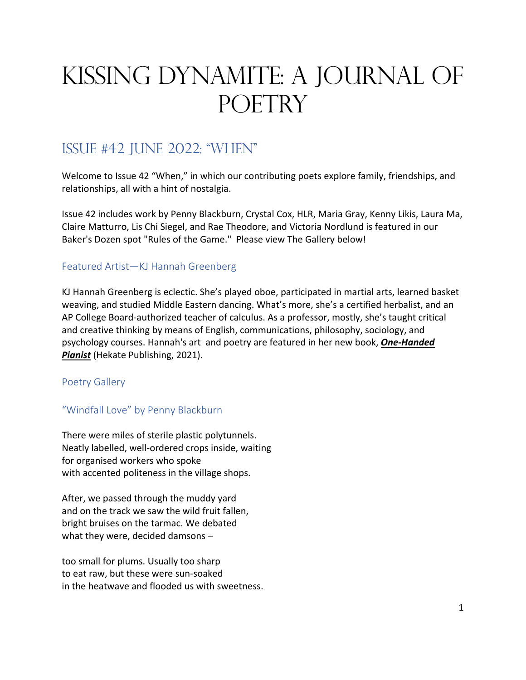# Kissing Dynamite: A Journal of **POETRY**

# Issue #42 june 2022: "when"

Welcome to Issue 42 "When," in which our contributing poets explore family, friendships, and relationships, all with a hint of nostalgia.

Issue 42 includes work by Penny Blackburn, Crystal Cox, HLR, Maria Gray, Kenny Likis, Laura Ma, Claire Matturro, Lis Chi Siegel, and Rae Theodore, and Victoria Nordlund is featured in our Baker's Dozen spot "Rules of the Game." Please view The Gallery below!

# Featured Artist—KJ Hannah Greenberg

KJ Hannah Greenberg is eclectic. She's played oboe, participated in martial arts, learned basket weaving, and studied Middle Eastern dancing. What's more, she's a certified herbalist, and an AP College Board-authorized teacher of calculus. As a professor, mostly, she's taught critical and creative thinking by means of English, communications, philosophy, sociology, and psychology courses. Hannah's art and poetry are featured in her new book, *One-Handed Pianist* (Hekate Publishing, 2021).

# Poetry Gallery

# "Windfall Love" by Penny Blackburn

There were miles of sterile plastic polytunnels. Neatly labelled, well-ordered crops inside, waiting for organised workers who spoke with accented politeness in the village shops.

After, we passed through the muddy yard and on the track we saw the wild fruit fallen, bright bruises on the tarmac. We debated what they were, decided damsons –

too small for plums. Usually too sharp to eat raw, but these were sun-soaked in the heatwave and flooded us with sweetness.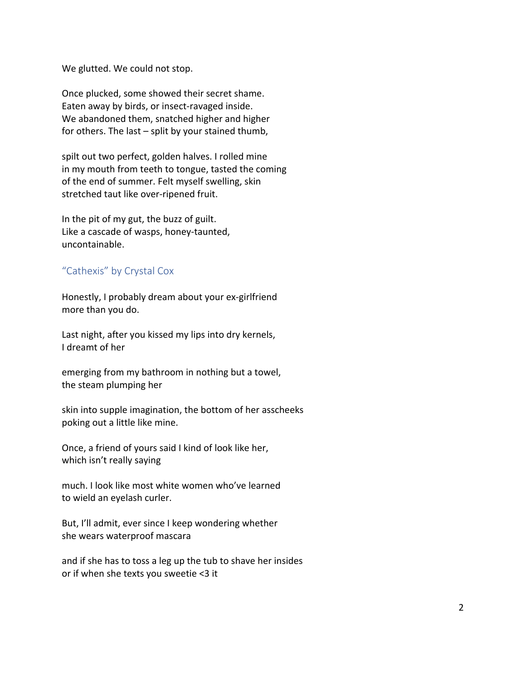We glutted. We could not stop.

Once plucked, some showed their secret shame. Eaten away by birds, or insect-ravaged inside. We abandoned them, snatched higher and higher for others. The last – split by your stained thumb,

spilt out two perfect, golden halves. I rolled mine in my mouth from teeth to tongue, tasted the coming of the end of summer. Felt myself swelling, skin stretched taut like over-ripened fruit.

In the pit of my gut, the buzz of guilt. Like a cascade of wasps, honey-taunted, uncontainable.

# "Cathexis" by Crystal Cox

Honestly, I probably dream about your ex-girlfriend more than you do.

Last night, after you kissed my lips into dry kernels, I dreamt of her

emerging from my bathroom in nothing but a towel, the steam plumping her

skin into supple imagination, the bottom of her asscheeks poking out a little like mine.

Once, a friend of yours said I kind of look like her, which isn't really saying

much. I look like most white women who've learned to wield an eyelash curler.

But, I'll admit, ever since I keep wondering whether she wears waterproof mascara

and if she has to toss a leg up the tub to shave her insides or if when she texts you sweetie <3 it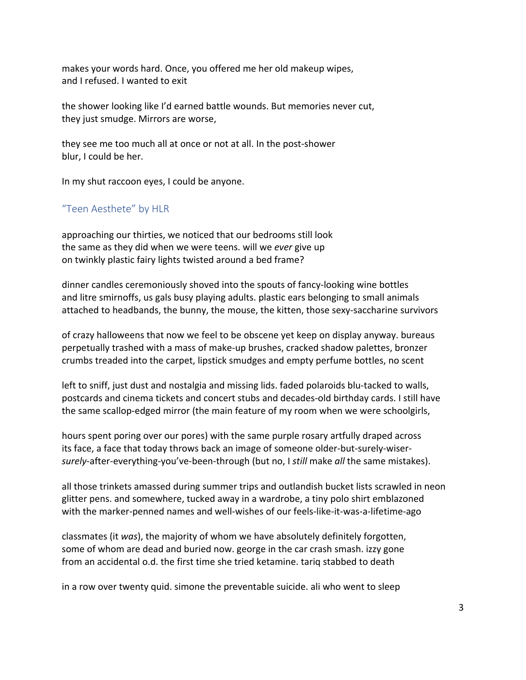makes your words hard. Once, you offered me her old makeup wipes, and I refused. I wanted to exit

the shower looking like I'd earned battle wounds. But memories never cut, they just smudge. Mirrors are worse,

they see me too much all at once or not at all. In the post-shower blur, I could be her.

In my shut raccoon eyes, I could be anyone.

# "Teen Aesthete" by HLR

approaching our thirties, we noticed that our bedrooms still look the same as they did when we were teens. will we *ever* give up on twinkly plastic fairy lights twisted around a bed frame?

dinner candles ceremoniously shoved into the spouts of fancy-looking wine bottles and litre smirnoffs, us gals busy playing adults. plastic ears belonging to small animals attached to headbands, the bunny, the mouse, the kitten, those sexy-saccharine survivors

of crazy halloweens that now we feel to be obscene yet keep on display anyway. bureaus perpetually trashed with a mass of make-up brushes, cracked shadow palettes, bronzer crumbs treaded into the carpet, lipstick smudges and empty perfume bottles, no scent

left to sniff, just dust and nostalgia and missing lids. faded polaroids blu-tacked to walls, postcards and cinema tickets and concert stubs and decades-old birthday cards. I still have the same scallop-edged mirror (the main feature of my room when we were schoolgirls,

hours spent poring over our pores) with the same purple rosary artfully draped across its face, a face that today throws back an image of someone older-but-surely-wiser*surely*-after-everything-you've-been-through (but no, I *still* make *all* the same mistakes).

all those trinkets amassed during summer trips and outlandish bucket lists scrawled in neon glitter pens. and somewhere, tucked away in a wardrobe, a tiny polo shirt emblazoned with the marker-penned names and well-wishes of our feels-like-it-was-a-lifetime-ago

classmates (it *was*), the majority of whom we have absolutely definitely forgotten, some of whom are dead and buried now. george in the car crash smash. izzy gone from an accidental o.d. the first time she tried ketamine. tariq stabbed to death

in a row over twenty quid. simone the preventable suicide. ali who went to sleep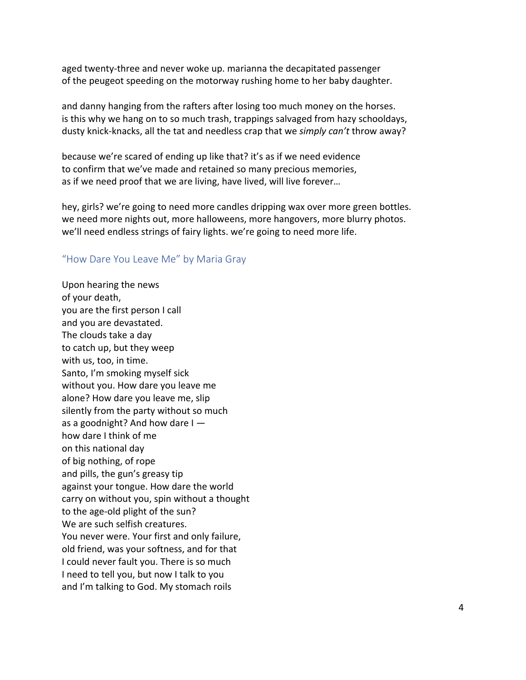aged twenty-three and never woke up. marianna the decapitated passenger of the peugeot speeding on the motorway rushing home to her baby daughter.

and danny hanging from the rafters after losing too much money on the horses. is this why we hang on to so much trash, trappings salvaged from hazy schooldays, dusty knick-knacks, all the tat and needless crap that we *simply can't* throw away?

because we're scared of ending up like that? it's as if we need evidence to confirm that we've made and retained so many precious memories, as if we need proof that we are living, have lived, will live forever…

hey, girls? we're going to need more candles dripping wax over more green bottles. we need more nights out, more halloweens, more hangovers, more blurry photos. we'll need endless strings of fairy lights. we're going to need more life.

# "How Dare You Leave Me" by Maria Gray

Upon hearing the news of your death, you are the first person I call and you are devastated. The clouds take a day to catch up, but they weep with us, too, in time. Santo, I'm smoking myself sick without you. How dare you leave me alone? How dare you leave me, slip silently from the party without so much as a goodnight? And how dare  $I$ how dare I think of me on this national day of big nothing, of rope and pills, the gun's greasy tip against your tongue. How dare the world carry on without you, spin without a thought to the age-old plight of the sun? We are such selfish creatures. You never were. Your first and only failure, old friend, was your softness, and for that I could never fault you. There is so much I need to tell you, but now I talk to you and I'm talking to God. My stomach roils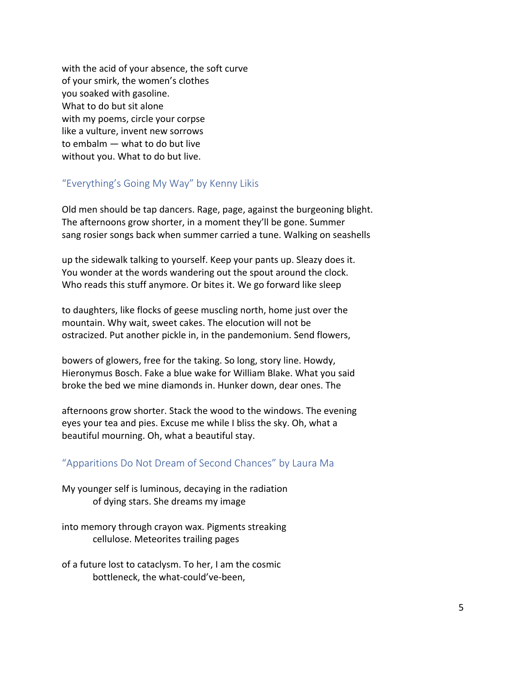with the acid of your absence, the soft curve of your smirk, the women's clothes you soaked with gasoline. What to do but sit alone with my poems, circle your corpse like a vulture, invent new sorrows to embalm — what to do but live without you. What to do but live.

# "Everything's Going My Way" by Kenny Likis

Old men should be tap dancers. Rage, page, against the burgeoning blight. The afternoons grow shorter, in a moment they'll be gone. Summer sang rosier songs back when summer carried a tune. Walking on seashells

up the sidewalk talking to yourself. Keep your pants up. Sleazy does it. You wonder at the words wandering out the spout around the clock. Who reads this stuff anymore. Or bites it. We go forward like sleep

to daughters, like flocks of geese muscling north, home just over the mountain. Why wait, sweet cakes. The elocution will not be ostracized. Put another pickle in, in the pandemonium. Send flowers,

bowers of glowers, free for the taking. So long, story line. Howdy, Hieronymus Bosch. Fake a blue wake for William Blake. What you said broke the bed we mine diamonds in. Hunker down, dear ones. The

afternoons grow shorter. Stack the wood to the windows. The evening eyes your tea and pies. Excuse me while I bliss the sky. Oh, what a beautiful mourning. Oh, what a beautiful stay.

# "Apparitions Do Not Dream of Second Chances" by Laura Ma

My younger self is luminous, decaying in the radiation of dying stars. She dreams my image

into memory through crayon wax. Pigments streaking cellulose. Meteorites trailing pages

of a future lost to cataclysm. To her, I am the cosmic bottleneck, the what-could've-been,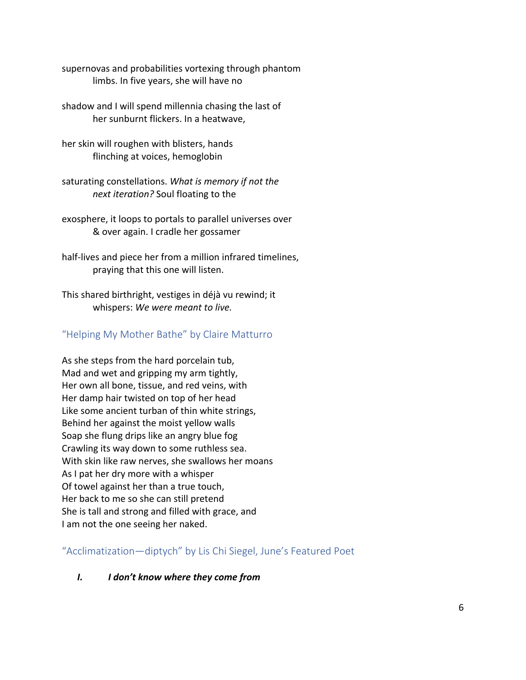supernovas and probabilities vortexing through phantom limbs. In five years, she will have no

shadow and I will spend millennia chasing the last of her sunburnt flickers. In a heatwave,

her skin will roughen with blisters, hands flinching at voices, hemoglobin

saturating constellations. *What is memory if not the next iteration?* Soul floating to the

exosphere, it loops to portals to parallel universes over & over again. I cradle her gossamer

half-lives and piece her from a million infrared timelines, praying that this one will listen.

This shared birthright, vestiges in déjà vu rewind; it whispers: *We were meant to live.* 

# "Helping My Mother Bathe" by Claire Matturro

As she steps from the hard porcelain tub, Mad and wet and gripping my arm tightly, Her own all bone, tissue, and red veins, with Her damp hair twisted on top of her head Like some ancient turban of thin white strings, Behind her against the moist yellow walls Soap she flung drips like an angry blue fog Crawling its way down to some ruthless sea. With skin like raw nerves, she swallows her moans As I pat her dry more with a whisper Of towel against her than a true touch, Her back to me so she can still pretend She is tall and strong and filled with grace, and I am not the one seeing her naked.

"Acclimatization—diptych" by Lis Chi Siegel, June's Featured Poet

# *I. I don't know where they come from*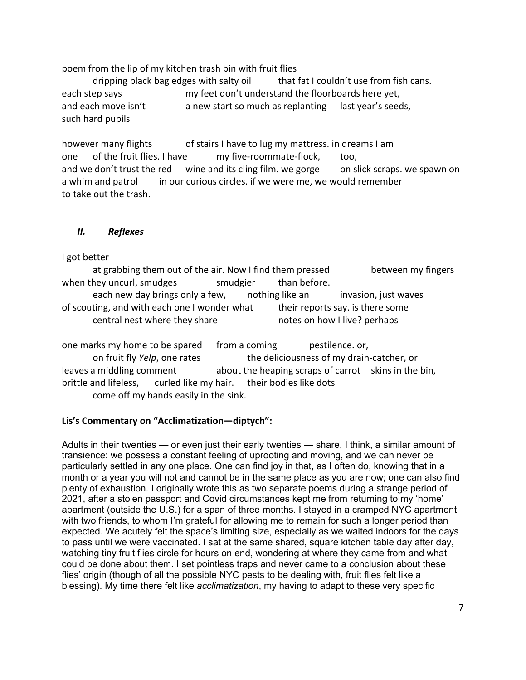poem from the lip of my kitchen trash bin with fruit flies

dripping black bag edges with salty oil that fat I couldn't use from fish cans. each step says my feet don't understand the floorboards here yet, and each move isn't a new start so much as replanting last year's seeds, such hard pupils

however many flights of stairs I have to lug my mattress. in dreams I am one of the fruit flies. I have my five-roommate-flock, too, and we don't trust the red wine and its cling film. we gorge on slick scraps. we spawn on a whim and patrol in our curious circles. if we were me, we would remember to take out the trash.

# *II. Reflexes*

# I got better

at grabbing them out of the air. Now I find them pressed between my fingers when they uncurl, smudges smudgier than before. each new day brings only a few, anothing like an invasion, just waves of scouting, and with each one I wonder what their reports say. is there some central nest where they share notes on how I live? perhaps

one marks my home to be spared from a coming pestilence. or, on fruit fly *Yelp*, one rates the deliciousness of my drain-catcher, or leaves a middling comment about the heaping scraps of carrot skins in the bin, brittle and lifeless, curled like my hair. their bodies like dots come off my hands easily in the sink.

# **Lis's Commentary on "Acclimatization—diptych":**

Adults in their twenties — or even just their early twenties — share, I think, a similar amount of transience: we possess a constant feeling of uprooting and moving, and we can never be particularly settled in any one place. One can find joy in that, as I often do, knowing that in a month or a year you will not and cannot be in the same place as you are now; one can also find plenty of exhaustion. I originally wrote this as two separate poems during a strange period of 2021, after a stolen passport and Covid circumstances kept me from returning to my 'home' apartment (outside the U.S.) for a span of three months. I stayed in a cramped NYC apartment with two friends, to whom I'm grateful for allowing me to remain for such a longer period than expected. We acutely felt the space's limiting size, especially as we waited indoors for the days to pass until we were vaccinated. I sat at the same shared, square kitchen table day after day, watching tiny fruit flies circle for hours on end, wondering at where they came from and what could be done about them. I set pointless traps and never came to a conclusion about these flies' origin (though of all the possible NYC pests to be dealing with, fruit flies felt like a blessing). My time there felt like *acclimatization*, my having to adapt to these very specific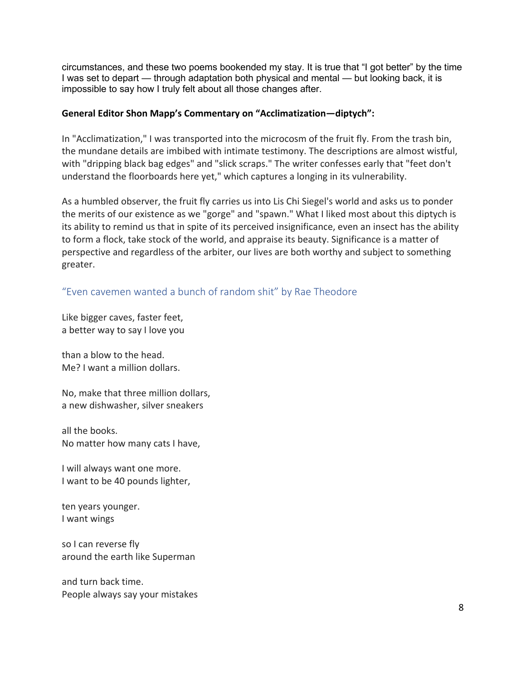circumstances, and these two poems bookended my stay. It is true that "I got better" by the time I was set to depart — through adaptation both physical and mental — but looking back, it is impossible to say how I truly felt about all those changes after.

# **General Editor Shon Mapp's Commentary on "Acclimatization—diptych":**

In "Acclimatization," I was transported into the microcosm of the fruit fly. From the trash bin, the mundane details are imbibed with intimate testimony. The descriptions are almost wistful, with "dripping black bag edges" and "slick scraps." The writer confesses early that "feet don't understand the floorboards here yet," which captures a longing in its vulnerability.

As a humbled observer, the fruit fly carries us into Lis Chi Siegel's world and asks us to ponder the merits of our existence as we "gorge" and "spawn." What I liked most about this diptych is its ability to remind us that in spite of its perceived insignificance, even an insect has the ability to form a flock, take stock of the world, and appraise its beauty. Significance is a matter of perspective and regardless of the arbiter, our lives are both worthy and subject to something greater.

"Even cavemen wanted a bunch of random shit" by Rae Theodore

Like bigger caves, faster feet, a better way to say I love you

than a blow to the head. Me? I want a million dollars.

No, make that three million dollars, a new dishwasher, silver sneakers

all the books. No matter how many cats I have,

I will always want one more. I want to be 40 pounds lighter,

ten years younger. I want wings

so I can reverse fly around the earth like Superman

and turn back time. People always say your mistakes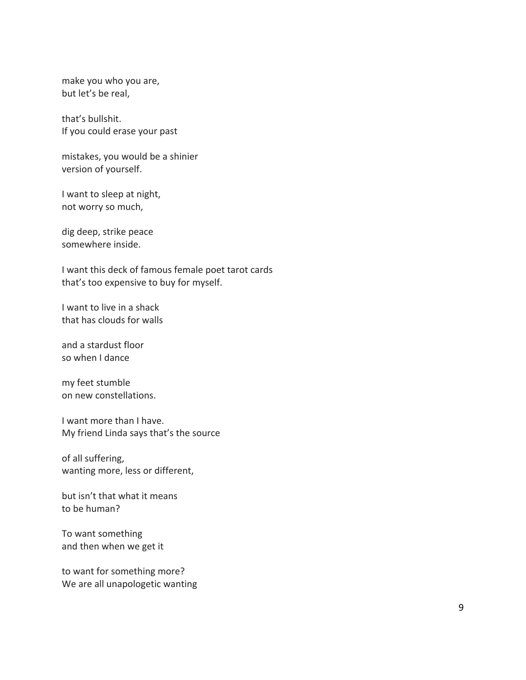make you who you are, but let's be real,

that's bullshit. If you could erase your past

mistakes, you would be a shinier version of yourself.

I want to sleep at night, not worry so much,

dig deep, strike peace somewhere inside.

I want this deck of famous female poet tarot cards that's too expensive to buy for myself.

I want to live in a shack that has clouds for walls

and a stardust floor so when I dance

my feet stumble on new constellations.

I want more than I have. My friend Linda says that's the source

of all suffering, wanting more, less or different,

but isn't that what it means to be human?

To want something and then when we get it

to want for something more? We are all unapologetic wanting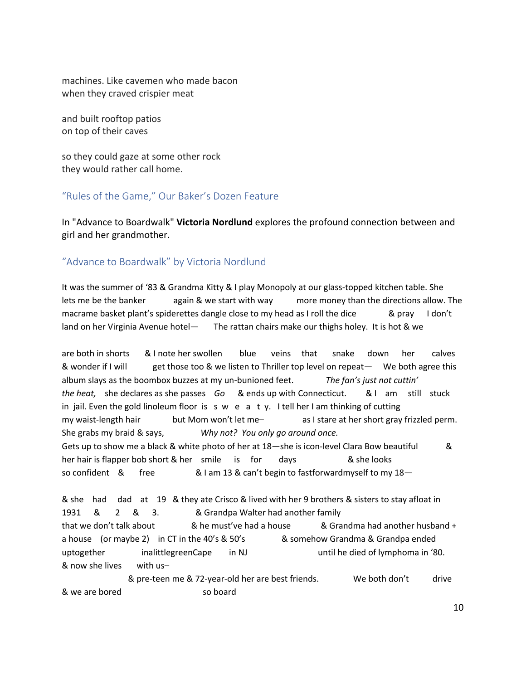machines. Like cavemen who made bacon when they craved crispier meat

and built rooftop patios on top of their caves

so they could gaze at some other rock they would rather call home.

# "Rules of the Game," Our Baker's Dozen Feature

In "Advance to Boardwalk" **Victoria Nordlund** explores the profound connection between and girl and her grandmother.

# "Advance to Boardwalk" by Victoria Nordlund

It was the summer of '83 & Grandma Kitty & I play Monopoly at our glass-topped kitchen table. She lets me be the banker again & we start with way more money than the directions allow. The macrame basket plant's spiderettes dangle close to my head as I roll the dice  $\&$  pray I don't land on her Virginia Avenue hotel— The rattan chairs make our thighs holey. It is hot & we

are both in shorts & I note her swollen blue veins that snake down her calves & wonder if I will get those too & we listen to Thriller top level on repeat— We both agree this album slays as the boombox buzzes at my un-bunioned feet. *The fan's just not cuttin' the heat,* she declares as she passes *Go* & ends up with Connecticut. & I am still stuck in jail. Even the gold linoleum floor is s  $w$  e a t  $y$ . I tell her I am thinking of cutting my waist-length hair but Mom won't let me– as I stare at her short gray frizzled perm. She grabs my braid & says, *Why not? You only go around once.* Gets up to show me a black & white photo of her at 18—she is icon-level Clara Bow beautiful & her hair is flapper bob short & her smile is for days and the looks so confident & free  $\&$  1 am 13 & can't begin to fastforwardmyself to my 18-

& she had dad at 19 & they ate Crisco & lived with her 9 brothers & sisters to stay afloat in 1931 & 2 & 3. & Grandpa Walter had another family that we don't talk about  $\&$  he must've had a house  $\&$  Grandma had another husband + a house (or maybe 2) in CT in the 40's & 50's & somehow Grandma & Grandpa ended uptogether inalittlegreenCape in NJ until he died of lymphoma in '80. & now she lives with us–

 & pre-teen me & 72-year-old her are best friends. We both don't drive & we are bored so board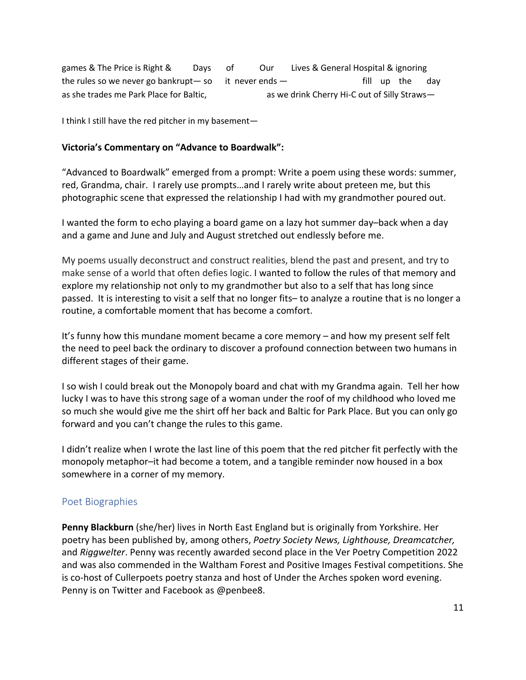games & The Price is Right & Days of Our Lives & General Hospital & ignoring the rules so we never go bankrupt— so it never ends  $-$  fill up the day as she trades me Park Place for Baltic, as we drink Cherry Hi-C out of Silly Straws-

I think I still have the red pitcher in my basement—

# **Victoria's Commentary on "Advance to Boardwalk":**

"Advanced to Boardwalk" emerged from a prompt: Write a poem using these words: summer, red, Grandma, chair. I rarely use prompts…and I rarely write about preteen me, but this photographic scene that expressed the relationship I had with my grandmother poured out.

I wanted the form to echo playing a board game on a lazy hot summer day–back when a day and a game and June and July and August stretched out endlessly before me.

My poems usually deconstruct and construct realities, blend the past and present, and try to make sense of a world that often defies logic. I wanted to follow the rules of that memory and explore my relationship not only to my grandmother but also to a self that has long since passed. It is interesting to visit a self that no longer fits– to analyze a routine that is no longer a routine, a comfortable moment that has become a comfort.

It's funny how this mundane moment became a core memory – and how my present self felt the need to peel back the ordinary to discover a profound connection between two humans in different stages of their game.

I so wish I could break out the Monopoly board and chat with my Grandma again. Tell her how lucky I was to have this strong sage of a woman under the roof of my childhood who loved me so much she would give me the shirt off her back and Baltic for Park Place. But you can only go forward and you can't change the rules to this game.

I didn't realize when I wrote the last line of this poem that the red pitcher fit perfectly with the monopoly metaphor–it had become a totem, and a tangible reminder now housed in a box somewhere in a corner of my memory.

# Poet Biographies

**Penny Blackburn** (she/her) lives in North East England but is originally from Yorkshire. Her poetry has been published by, among others, *Poetry Society News, Lighthouse, Dreamcatcher,* and *Riggwelter*. Penny was recently awarded second place in the Ver Poetry Competition 2022 and was also commended in the Waltham Forest and Positive Images Festival competitions. She is co-host of Cullerpoets poetry stanza and host of Under the Arches spoken word evening. Penny is on Twitter and Facebook as @penbee8.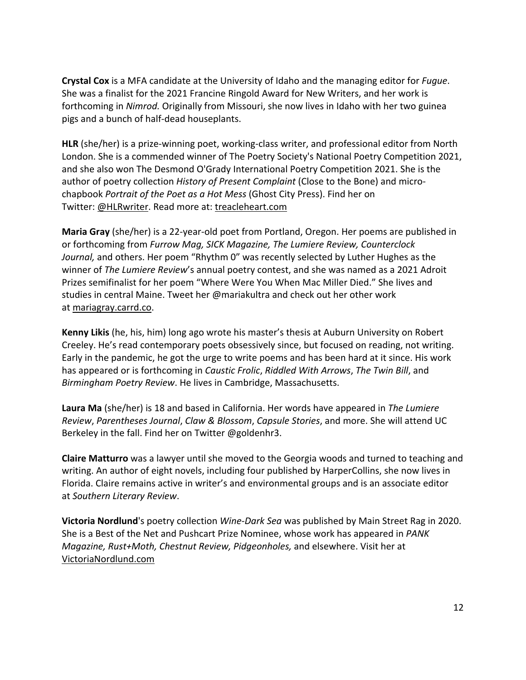**Crystal Cox** is a MFA candidate at the University of Idaho and the managing editor for *Fugue*. She was a finalist for the 2021 Francine Ringold Award for New Writers, and her work is forthcoming in *Nimrod.* Originally from Missouri, she now lives in Idaho with her two guinea pigs and a bunch of half-dead houseplants.

**HLR** (she/her) is a prize-winning poet, working-class writer, and professional editor from North London. She is a commended winner of The Poetry Society's National Poetry Competition 2021, and she also won The Desmond O'Grady International Poetry Competition 2021. She is the author of poetry collection *History of Present Complaint* (Close to the Bone) and microchapbook *Portrait of the Poet as a Hot Mess* (Ghost City Press). Find her on Twitter: @HLRwriter. Read more at: treacleheart.com

**Maria Gray** (she/her) is a 22-year-old poet from Portland, Oregon. Her poems are published in or forthcoming from *Furrow Mag, SICK Magazine, The Lumiere Review, Counterclock Journal,* and others. Her poem "Rhythm 0" was recently selected by Luther Hughes as the winner of *The Lumiere Review*'s annual poetry contest, and she was named as a 2021 Adroit Prizes semifinalist for her poem "Where Were You When Mac Miller Died." She lives and studies in central Maine. Tweet her @mariakultra and check out her other work at mariagray.carrd.co.

**Kenny Likis** (he, his, him) long ago wrote his master's thesis at Auburn University on Robert Creeley. He's read contemporary poets obsessively since, but focused on reading, not writing. Early in the pandemic, he got the urge to write poems and has been hard at it since. His work has appeared or is forthcoming in *Caustic Frolic*, *Riddled With Arrows*, *The Twin Bill*, and *Birmingham Poetry Review*. He lives in Cambridge, Massachusetts.

**Laura Ma** (she/her) is 18 and based in California. Her words have appeared in *The Lumiere Review*, *Parentheses Journal*, *Claw & Blossom*, *Capsule Stories*, and more. She will attend UC Berkeley in the fall. Find her on Twitter @goldenhr3.

**Claire Matturro** was a lawyer until she moved to the Georgia woods and turned to teaching and writing. An author of eight novels, including four published by HarperCollins, she now lives in Florida. Claire remains active in writer's and environmental groups and is an associate editor at *Southern Literary Review*.

**Victoria Nordlund**'s poetry collection *Wine-Dark Sea* was published by Main Street Rag in 2020. She is a Best of the Net and Pushcart Prize Nominee, whose work has appeared in *PANK Magazine, Rust+Moth, Chestnut Review, Pidgeonholes,* and elsewhere. Visit her at VictoriaNordlund.com